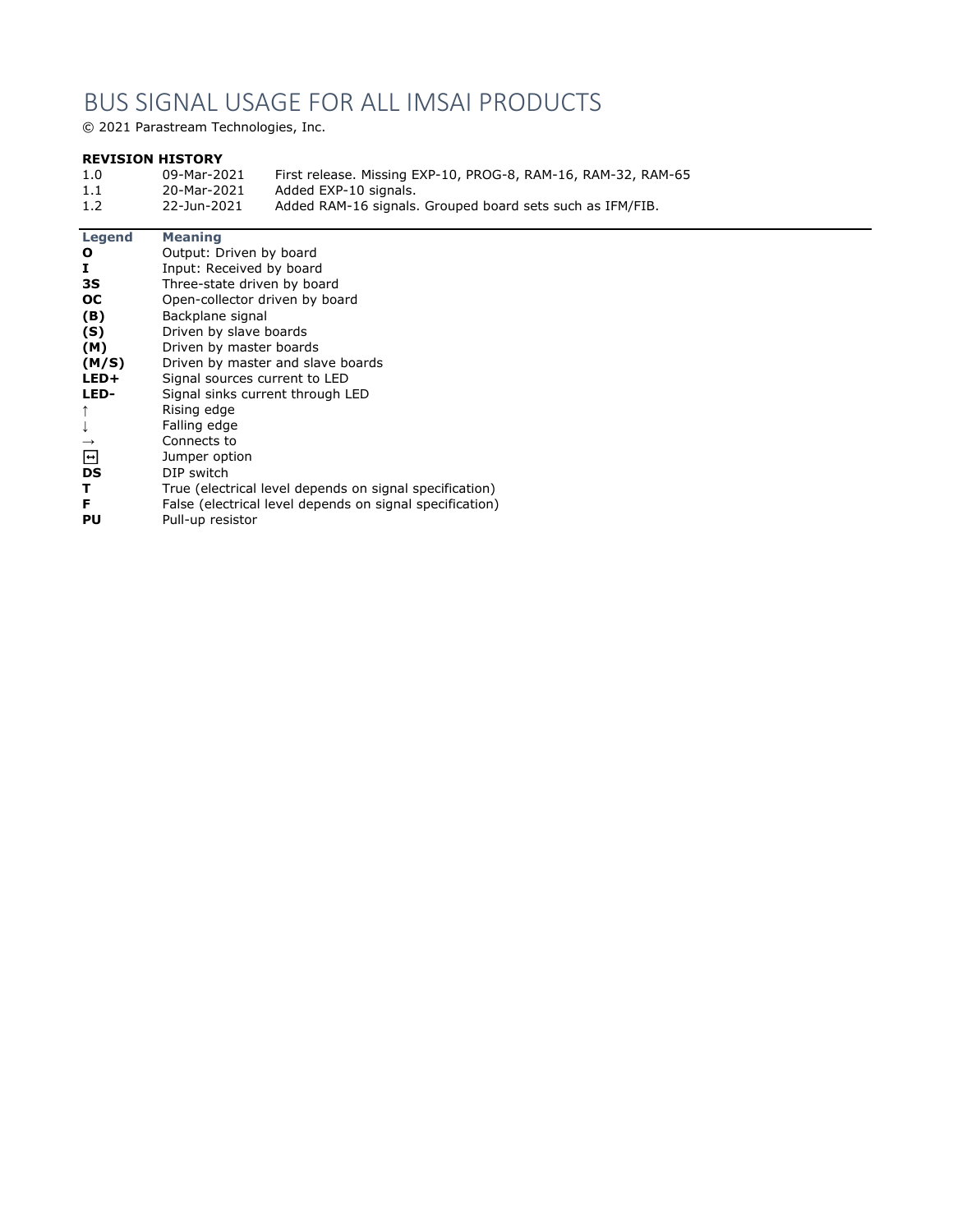## BUS SIGNAL USAGE FOR ALL IMSAI PRODUCTS

© 2021 Parastream Technologies, Inc.

## **REVISION HISTORY**

| 1.0 | 09-Mar-2021 | First release. Missing EXP-10, PROG-8, RAM-16, RAM-32, RAM-65 |
|-----|-------------|---------------------------------------------------------------|
| 1.1 | 20-Mar-2021 | Added EXP-10 signals.                                         |
| 1.2 | 22-Jun-2021 | Added RAM-16 signals. Grouped board sets such as IFM/FIB.     |

## **Legend Meaning**

| O                       | Output: Driven by board                                  |
|-------------------------|----------------------------------------------------------|
| Ι.                      | Input: Received by board                                 |
| 3S.                     | Three-state driven by board                              |
| <b>OC</b>               | Open-collector driven by board                           |
| (B)                     | Backplane signal                                         |
| (S)                     | Driven by slave boards                                   |
| (M)                     | Driven by master boards                                  |
| (M/S)                   | Driven by master and slave boards                        |
| LED+                    | Signal sources current to LED                            |
| LED-                    | Signal sinks current through LED                         |
| ↑                       | Rising edge                                              |
|                         | Falling edge                                             |
| $\rightarrow$           | Connects to                                              |
| $\overline{\mathbf{t}}$ | Jumper option                                            |
| DS                      | DIP switch                                               |
| т                       | True (electrical level depends on signal specification)  |
| F                       | False (electrical level depends on signal specification) |
| PU                      | Pull-up resistor                                         |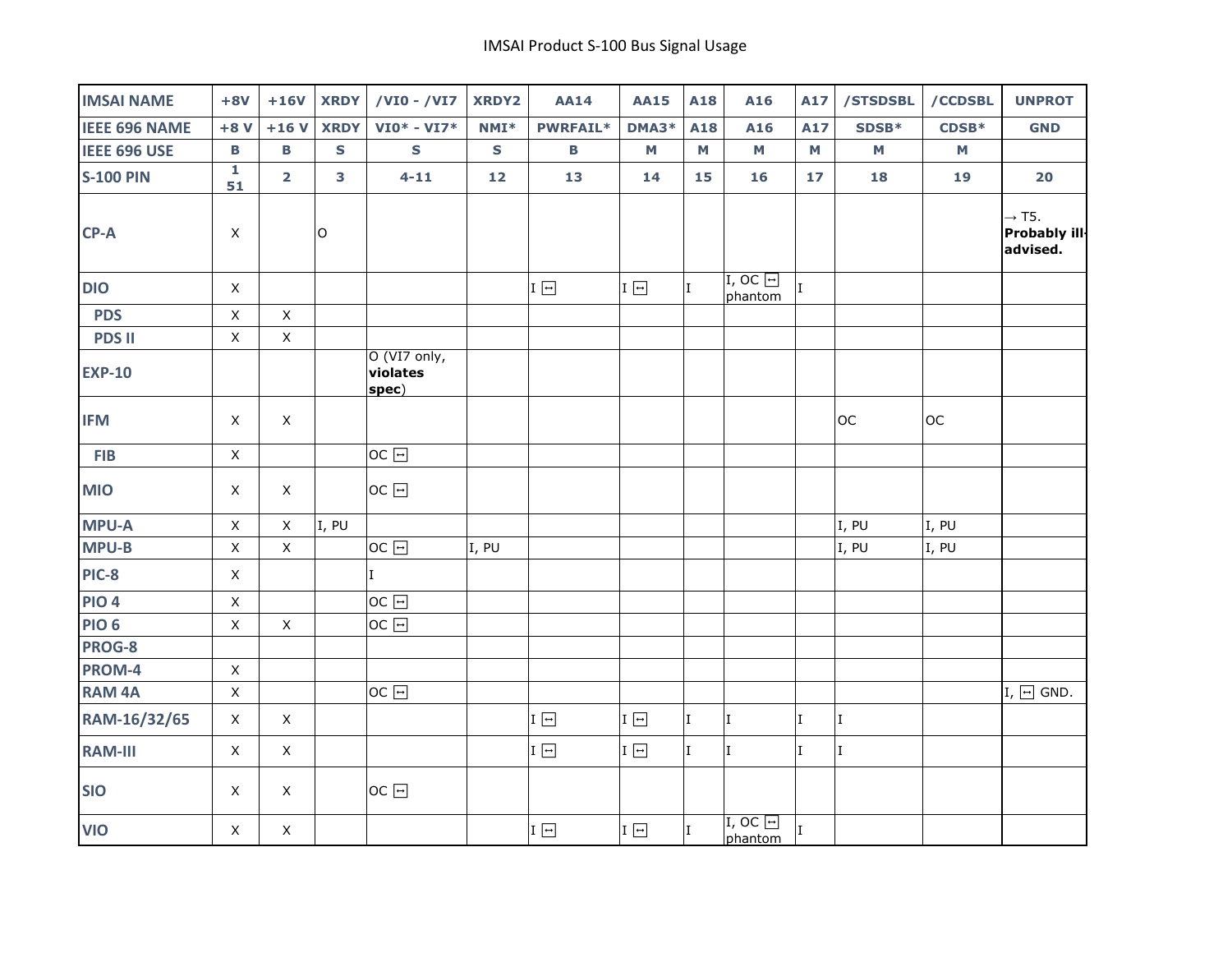| <b>IMSAI NAME</b>    | $+8V$                         | $+16V$                  | <b>XRDY</b> | /VI0 - /VI7                       | <b>XRDY2</b> | <b>AA14</b>  | <b>AA15</b>                      | A18 | A16                       | A17          | /STSDSBL                  | /CCDSBL | <b>UNPROT</b>                                  |
|----------------------|-------------------------------|-------------------------|-------------|-----------------------------------|--------------|--------------|----------------------------------|-----|---------------------------|--------------|---------------------------|---------|------------------------------------------------|
| <b>IEEE 696 NAME</b> | $+8V$                         | $+16V$                  | <b>XRDY</b> | $VIO* - VI7*$                     | $NMI*$       | PWRFAIL*     | DMA3*                            | A18 | A16                       | A17          | SDSB*                     | $CDSB*$ | <b>GND</b>                                     |
| <b>IEEE 696 USE</b>  | В                             | $\mathbf B$             | $\mathbf s$ | $\mathbf s$                       | $\mathsf{s}$ | $\, {\bf B}$ | M                                | M   | M                         | М            | $\boldsymbol{\mathsf{M}}$ | M       |                                                |
| <b>S-100 PIN</b>     | $\overline{\mathbf{1}}$<br>51 | $\overline{\mathbf{2}}$ | 3           | $4 - 11$                          | 12           | 13           | 14                               | 15  | 16                        | 17           | 18                        | 19      | 20                                             |
| CP-A                 | X                             |                         | $\mathsf O$ |                                   |              |              |                                  |     |                           |              |                           |         | $\rightarrow$ T5.<br>Probably ill-<br>advised. |
| <b>DIO</b>           | $\mathsf X$                   |                         |             |                                   |              | $I \Box$     | $\text{I} \ \boxed{\rightarrow}$ | I.  | $I, OC$ $\Box$<br>phantom | T.           |                           |         |                                                |
| <b>PDS</b>           | $\mathsf X$                   | $\mathsf X$             |             |                                   |              |              |                                  |     |                           |              |                           |         |                                                |
| <b>PDS II</b>        | $\mathsf X$                   | $\mathsf X$             |             |                                   |              |              |                                  |     |                           |              |                           |         |                                                |
| <b>EXP-10</b>        |                               |                         |             | O (VI7 only,<br>violates<br>spec) |              |              |                                  |     |                           |              |                           |         |                                                |
| <b>IFM</b>           | $\mathsf X$                   | $\mathsf X$             |             |                                   |              |              |                                  |     |                           |              | <b>OC</b>                 | OC      |                                                |
| <b>FIB</b>           | $\mathsf X$                   |                         |             | $OC$ $\Box$                       |              |              |                                  |     |                           |              |                           |         |                                                |
| <b>MIO</b>           | $\mathsf X$                   | $\mathsf X$             |             | $OC \rightarrow$                  |              |              |                                  |     |                           |              |                           |         |                                                |
| <b>MPU-A</b>         | $\mathsf X$                   | $\mathsf X$             | I, PU       |                                   |              |              |                                  |     |                           |              | I, PU                     | I, PU   |                                                |
| <b>MPU-B</b>         | $\mathsf X$                   | $\mathsf X$             |             | $OC$ $\Box$                       | I, PU        |              |                                  |     |                           |              | I, PU                     | I, PU   |                                                |
| <b>PIC-8</b>         | $\mathsf X$                   |                         |             | $\mathbf I$                       |              |              |                                  |     |                           |              |                           |         |                                                |
| <b>PIO 4</b>         | $\mathsf X$                   |                         |             | $OC$ $\Box$                       |              |              |                                  |     |                           |              |                           |         |                                                |
| <b>PIO 6</b>         | $\mathsf X$                   | $\mathsf X$             |             | $OC \rightarrow$                  |              |              |                                  |     |                           |              |                           |         |                                                |
| PROG-8               |                               |                         |             |                                   |              |              |                                  |     |                           |              |                           |         |                                                |
| PROM-4               | $\mathsf X$                   |                         |             |                                   |              |              |                                  |     |                           |              |                           |         |                                                |
| <b>RAM 4A</b>        | $\mathsf X$                   |                         |             | $OC$ $\Box$                       |              |              |                                  |     |                           |              |                           |         | $I, \Box$ GND.                                 |
| RAM-16/32/65         | $\mathsf X$                   | $\mathsf X$             |             |                                   |              | $I \Box$     | I $\boxed{\rightarrow}$          | I   | I.                        | $\rm I$      | I                         |         |                                                |
| <b>RAM-III</b>       | $\mathsf X$                   | $\mathsf X$             |             |                                   |              | $I \Box$     | $\text{I}\ \overline{\boxminus}$ | I   | I                         | $\rm I$      | I                         |         |                                                |
| <b>SIO</b>           | X                             | $\mathsf{X}$            |             | $OC \rightarrow$                  |              |              |                                  |     |                           |              |                           |         |                                                |
| <b>VIO</b>           | $\mathsf{X}$                  | $\mathsf X$             |             |                                   |              | $I \Box$     | $I \Box$                         | I   | $I, OC$ $\Box$<br>phantom | $\mathbf{I}$ |                           |         |                                                |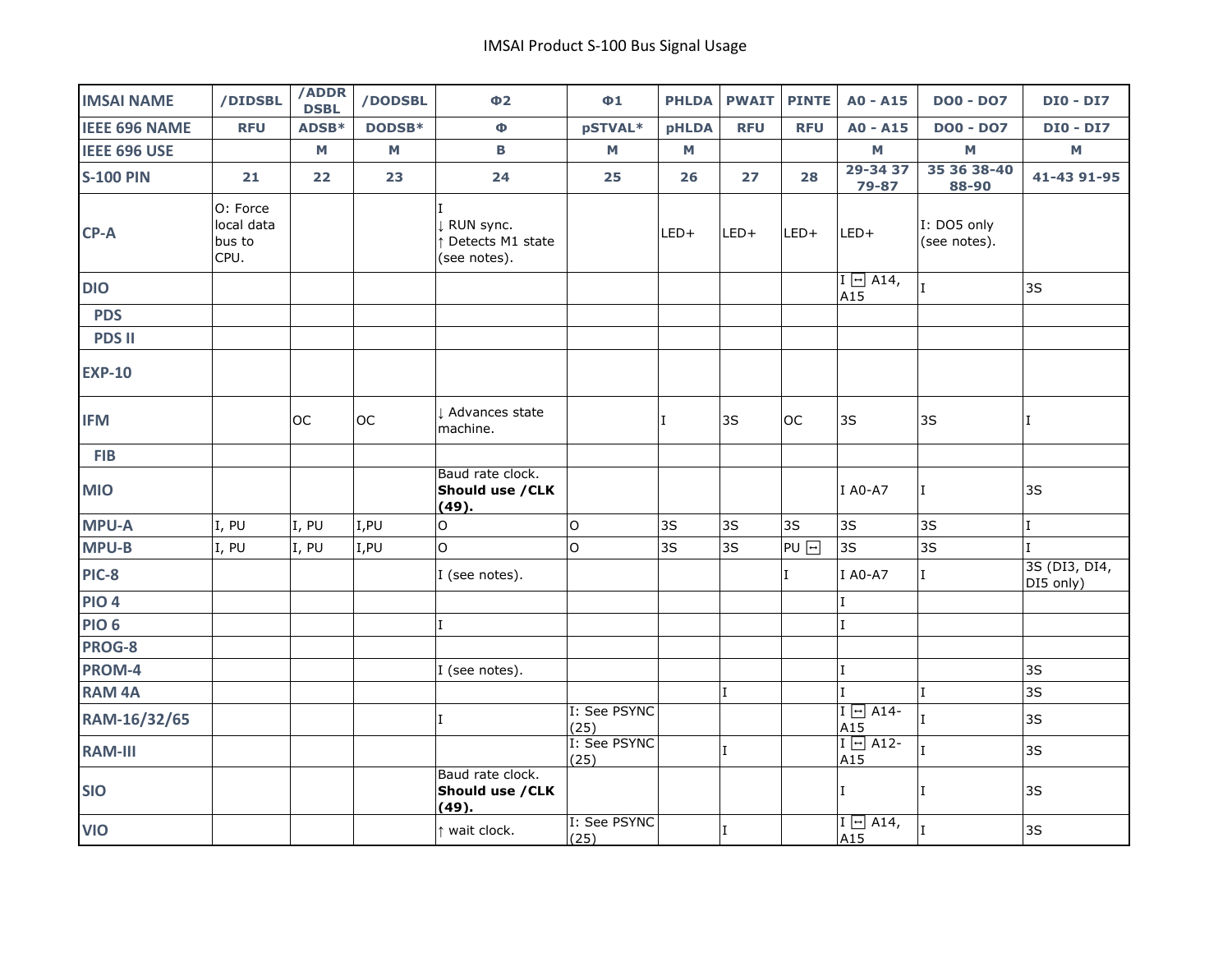| <b>IMSAI NAME</b>    | /DIDSBL                                  | /ADDR<br><b>DSBL</b>    | /DODSBL | $\Phi$ <sub>2</sub>                           | $\Phi$ <sup>1</sup>  | <b>PHLDA</b> | <b>PWAIT</b> | <b>PINTE</b>     | $AO - A15$               | <b>DO0 - DO7</b>            | <b>DIO - DI7</b>           |
|----------------------|------------------------------------------|-------------------------|---------|-----------------------------------------------|----------------------|--------------|--------------|------------------|--------------------------|-----------------------------|----------------------------|
| <b>IEEE 696 NAME</b> | <b>RFU</b>                               | ADSB*                   | DODSB*  | Ф                                             | pSTVAL*              | <b>pHLDA</b> | <b>RFU</b>   | <b>RFU</b>       | A0 - A15                 | <b>DO0 - DO7</b>            | <b>DIO - DI7</b>           |
| IEEE 696 USE         |                                          | $\mathsf{M}\phantom{M}$ | M       | В                                             | M                    | М            |              |                  | M                        | $\mathbf M$                 | $\mathsf{M}% _{0}$         |
| <b>S-100 PIN</b>     | 21                                       | 22                      | 23      | 24                                            | 25                   | 26           | 27           | 28               | 29-34 37<br>79-87        | 35 36 38-40<br>88-90        | 41-43 91-95                |
| CP-A                 | O: Force<br>local data<br>bus to<br>CPU. |                         |         | RUN sync.<br>Detects M1 state<br>(see notes). |                      | $LED+$       | $LED+$       | LED+             | $LED+$                   | I: DO5 only<br>(see notes). |                            |
| <b>DIO</b>           |                                          |                         |         |                                               |                      |              |              |                  | $I \ominus A14$ ,<br>A15 | $\mathbf I$                 | 3S                         |
| <b>PDS</b>           |                                          |                         |         |                                               |                      |              |              |                  |                          |                             |                            |
| <b>PDS II</b>        |                                          |                         |         |                                               |                      |              |              |                  |                          |                             |                            |
| <b>EXP-10</b>        |                                          |                         |         |                                               |                      |              |              |                  |                          |                             |                            |
| <b>IFM</b>           |                                          | <b>OC</b>               | loc     | Advances state<br>machine.                    |                      | ΙT           | 3S           | loc              | 3S                       | 3S                          | T                          |
| <b>FIB</b>           |                                          |                         |         |                                               |                      |              |              |                  |                          |                             |                            |
| <b>MIO</b>           |                                          |                         |         | Baud rate clock.<br>Should use / CLK<br>(49). |                      |              |              |                  | I A0-A7                  | I                           | 3S                         |
| <b>MPU-A</b>         | I, PU                                    | I, PU                   | I,PU    | $\mathsf O$                                   | $\circ$              | 3S           | 3S           | 3S               | 3S                       | 3S                          | $\bf I$                    |
| <b>MPU-B</b>         | I, PU                                    | I, PU                   | I,PU    | $\circ$                                       | $\circ$              | 3S           | 3S           | PU <sub>[-</sub> | 3S                       | 3S                          | $\mathsf{L}$               |
| <b>PIC-8</b>         |                                          |                         |         | I (see notes).                                |                      |              |              | I                | I A0-A7                  | $\rm I$                     | 3S (DI3, DI4,<br>DI5 only) |
| <b>PIO 4</b>         |                                          |                         |         |                                               |                      |              |              |                  | $\mathbf I$              |                             |                            |
| <b>PIO 6</b>         |                                          |                         |         |                                               |                      |              |              |                  | $\mathbf{I}$             |                             |                            |
| PROG-8               |                                          |                         |         |                                               |                      |              |              |                  |                          |                             |                            |
| PROM-4               |                                          |                         |         | I (see notes).                                |                      |              |              |                  | $\mathbf I$              |                             | 3S                         |
| <b>RAM 4A</b>        |                                          |                         |         |                                               |                      |              | $\rm I$      |                  | $\mathbf{I}$             | $\mathbf{I}$                | 3S                         |
| RAM-16/32/65         |                                          |                         |         | $\mathbf{I}$                                  | I: See PSYNC<br>(25) |              |              |                  | $I \Box$ A14-<br>A15     | T                           | 3S                         |
| <b>RAM-III</b>       |                                          |                         |         |                                               | I: See PSYNC<br>(25) |              | $\mathbf I$  |                  | $I \ominus AI2$<br>A15   | $\mathbf I$                 | 3S                         |
| <b>SIO</b>           |                                          |                         |         | Baud rate clock.<br>Should use / CLK<br>(49). |                      |              |              |                  | I.                       | T                           | 3S                         |
| <b>VIO</b>           |                                          |                         |         | wait clock.                                   | I: See PSYNC<br>(25) |              | $\mathbf I$  |                  | $I \ominus$ A14,<br>A15  | $\mathbf I$                 | 3S                         |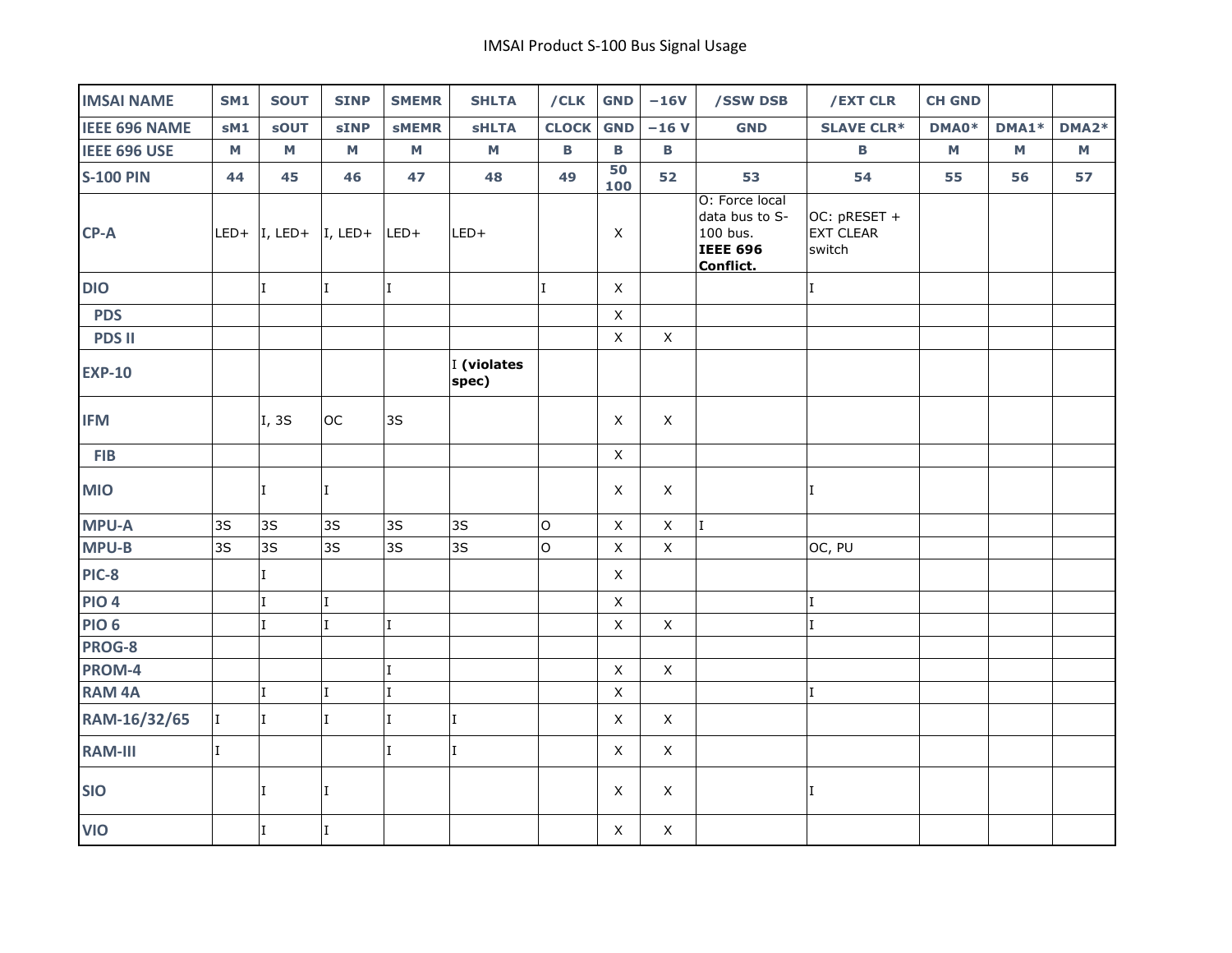| <b>IMSAI NAME</b>    | <b>SM1</b>   | <b>SOUT</b>                                                        | <b>SINP</b>             | <b>SMEMR</b>        | <b>SHLTA</b>         | /CLK         | <b>GND</b>   | $-16V$      | /SSW DSB                                                                     | /EXT CLR                                   | <b>CH GND</b> |       |       |
|----------------------|--------------|--------------------------------------------------------------------|-------------------------|---------------------|----------------------|--------------|--------------|-------------|------------------------------------------------------------------------------|--------------------------------------------|---------------|-------|-------|
| <b>IEEE 696 NAME</b> | sM1          | <b>sOUT</b>                                                        | <b>sINP</b>             | <b>SMEMR</b>        | <b>SHLTA</b>         | <b>CLOCK</b> | <b>GND</b>   | $-16V$      | <b>GND</b>                                                                   | <b>SLAVE CLR*</b>                          | DMA0*         | DMA1* | DMA2* |
| <b>IEEE 696 USE</b>  | M            | M                                                                  | $\mathsf{M}\phantom{M}$ | $\mathsf{M}\xspace$ | M                    | B            | В            | B           |                                                                              | В                                          | M             | M     | M     |
| <b>S-100 PIN</b>     | 44           | 45                                                                 | 46                      | 47                  | 48                   | 49           | 50<br>100    | 52          | 53                                                                           | 54                                         | 55            | 56    | 57    |
| $CP-A$               |              | LED+ $\vert I, \text{LED+} \vert I, \text{LED+} \vert \text{LED+}$ |                         |                     | LED+                 |              | X            |             | O: Force local<br>data bus to S-<br>100 bus.<br><b>IEEE 696</b><br>Conflict. | OC: pRESET +<br><b>EXT CLEAR</b><br>switch |               |       |       |
| <b>DIO</b>           |              | $\mathbf I$                                                        | $\mathbf{I}$            | I                   |                      | $\mathbf{I}$ | $\mathsf X$  |             |                                                                              | $\mathbf{I}$                               |               |       |       |
| <b>PDS</b>           |              |                                                                    |                         |                     |                      |              | $\mathsf X$  |             |                                                                              |                                            |               |       |       |
| <b>PDS II</b>        |              |                                                                    |                         |                     |                      |              | $\mathsf{X}$ | $\mathsf X$ |                                                                              |                                            |               |       |       |
| <b>EXP-10</b>        |              |                                                                    |                         |                     | I (violates<br>spec) |              |              |             |                                                                              |                                            |               |       |       |
| <b>IFM</b>           |              | I, 3S                                                              | <b>OC</b>               | 3S                  |                      |              | X            | $\mathsf X$ |                                                                              |                                            |               |       |       |
| <b>FIB</b>           |              |                                                                    |                         |                     |                      |              | X            |             |                                                                              |                                            |               |       |       |
| <b>MIO</b>           |              | I                                                                  | $\mathbf{I}$            |                     |                      |              | X            | $\mathsf X$ |                                                                              | $\mathbf{I}$                               |               |       |       |
| <b>MPU-A</b>         | 3S           | 3S                                                                 | 3S                      | 3S                  | 3S                   | $\mathsf O$  | $\mathsf X$  | $\mathsf X$ | I                                                                            |                                            |               |       |       |
| <b>MPU-B</b>         | 3S           | 3S                                                                 | 3S                      | 3S                  | 3S                   | $\mathsf{O}$ | $\mathsf X$  | $\mathsf X$ |                                                                              | OC, PU                                     |               |       |       |
| PIC-8                |              | $\mathbf I$                                                        |                         |                     |                      |              | $\mathsf{X}$ |             |                                                                              |                                            |               |       |       |
| <b>PIO 4</b>         |              | $\mathbf I$                                                        | $\mathbf I$             |                     |                      |              | X            |             |                                                                              | $\mathbf I$                                |               |       |       |
| <b>PIO 6</b>         |              | I                                                                  | $\mathbf{I}$            | I                   |                      |              | $\mathsf X$  | $\mathsf X$ |                                                                              |                                            |               |       |       |
| PROG-8               |              |                                                                    |                         |                     |                      |              |              |             |                                                                              |                                            |               |       |       |
| PROM-4               |              |                                                                    |                         | $\mathbf I$         |                      |              | $\mathsf X$  | $\mathsf X$ |                                                                              |                                            |               |       |       |
| <b>RAM 4A</b>        |              | $\mathsf{L}$                                                       | $\mathbf{I}$            | I                   |                      |              | $\mathsf X$  |             |                                                                              | $\mathsf{T}$                               |               |       |       |
| RAM-16/32/65         | I.           | I                                                                  | $\mathbf I$             | I                   | $\mathbf I$          |              | $\mathsf X$  | $\mathsf X$ |                                                                              |                                            |               |       |       |
| <b>RAM-III</b>       | $\mathbf{I}$ |                                                                    |                         | I                   | T                    |              | $\mathsf X$  | $\mathsf X$ |                                                                              |                                            |               |       |       |
| <b>SIO</b>           |              | $\mathbf I$                                                        | Ι.                      |                     |                      |              | X            | X           |                                                                              | I                                          |               |       |       |
| <b>VIO</b>           |              | T                                                                  | $\mathbf{I}$            |                     |                      |              | $\mathsf X$  | $\mathsf X$ |                                                                              |                                            |               |       |       |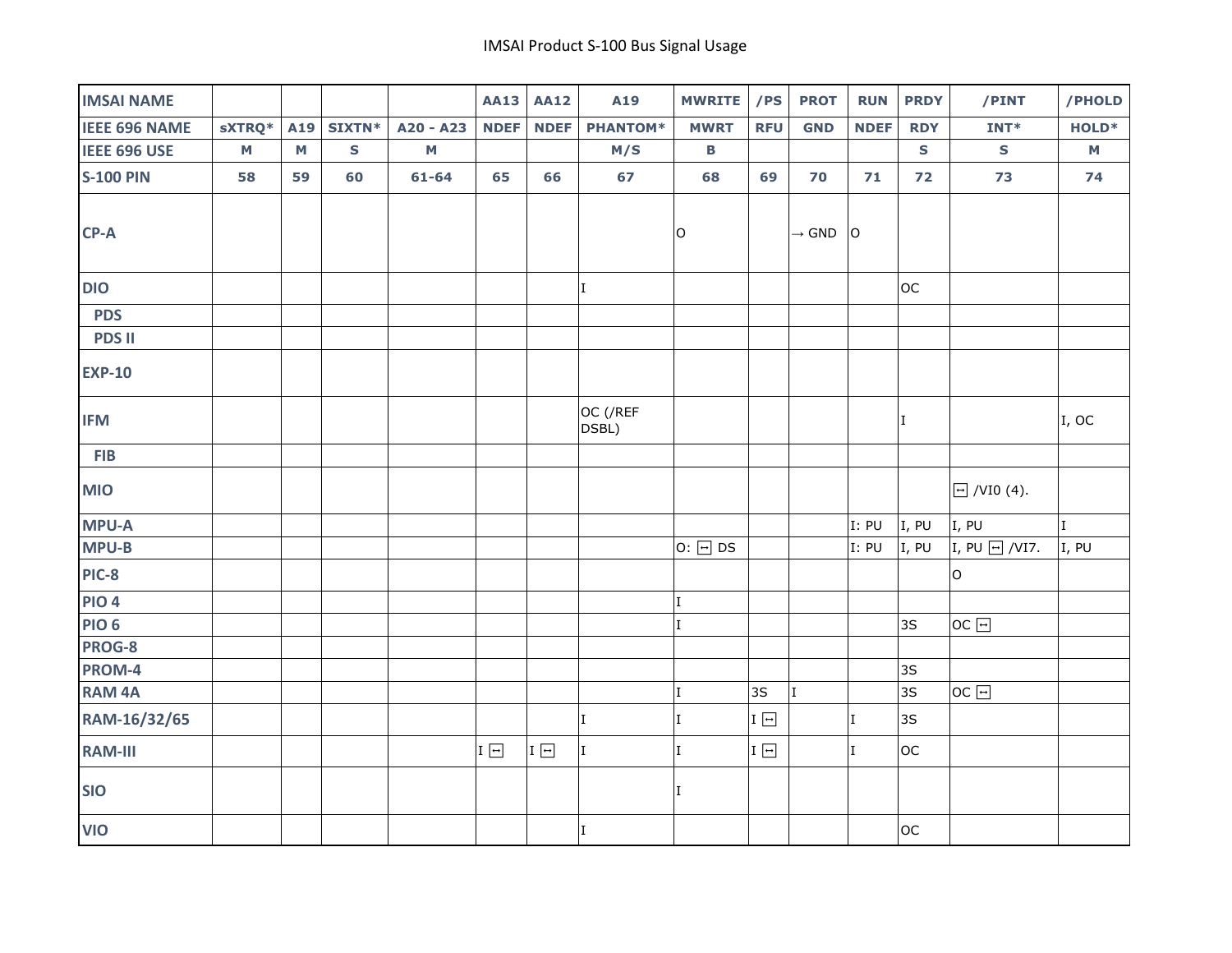| <b>IMSAI NAME</b>    |              |              |               |              | <b>AA13</b>                 | <b>AA12</b> | A19               | <b>MWRITE</b> | /PS        | <b>PROT</b>       | <b>RUN</b>   | <b>PRDY</b>  | /PINT                                   | /PHOLD                    |
|----------------------|--------------|--------------|---------------|--------------|-----------------------------|-------------|-------------------|---------------|------------|-------------------|--------------|--------------|-----------------------------------------|---------------------------|
| <b>IEEE 696 NAME</b> | sXTRQ*       | A19          | <b>SIXTN*</b> | A20 - A23    | <b>NDEF</b>                 | <b>NDEF</b> | <b>PHANTOM*</b>   | <b>MWRT</b>   | <b>RFU</b> | <b>GND</b>        | <b>NDEF</b>  | <b>RDY</b>   | $INT*$                                  | HOLD <sup>*</sup>         |
| <b>IEEE 696 USE</b>  | $\mathsf{M}$ | $\mathsf{M}$ | $\mathsf{s}$  | $\mathsf{M}$ |                             |             | M/S               | $\, {\bf B}$  |            |                   |              | ${\sf s}$    | $\mathsf S$                             | M                         |
| <b>S-100 PIN</b>     | 58           | 59           | 60            | $61 - 64$    | 65                          | 66          | 67                | 68            | 69         | 70                | 71           | 72           | 73                                      | 74                        |
| $CP-A$               |              |              |               |              |                             |             |                   | O             |            | $\rightarrow$ GND | $\circ$      |              |                                         |                           |
| <b>DIO</b>           |              |              |               |              |                             |             | $\mathbf I$       |               |            |                   |              | loc          |                                         |                           |
| <b>PDS</b>           |              |              |               |              |                             |             |                   |               |            |                   |              |              |                                         |                           |
| <b>PDS II</b>        |              |              |               |              |                             |             |                   |               |            |                   |              |              |                                         |                           |
| <b>EXP-10</b>        |              |              |               |              |                             |             |                   |               |            |                   |              |              |                                         |                           |
| <b>IFM</b>           |              |              |               |              |                             |             | OC (/REF<br>DSBL) |               |            |                   |              | $\mathbf{I}$ |                                         | $\vert$ <sub>I</sub> , oc |
| <b>FIB</b>           |              |              |               |              |                             |             |                   |               |            |                   |              |              |                                         |                           |
| <b>MIO</b>           |              |              |               |              |                             |             |                   |               |            |                   |              |              | $\boxed{\lvert \cdot \rvert}$ /VI0 (4). |                           |
| <b>MPU-A</b>         |              |              |               |              |                             |             |                   |               |            |                   | I: PU        | I, PU        | I, PU                                   | l T                       |
| <b>MPU-B</b>         |              |              |               |              |                             |             |                   | $0: $ DS      |            |                   | I: PU        | I, PU        | I, PU $\Box$ /VI7.                      | I, PU                     |
| PIC-8                |              |              |               |              |                             |             |                   |               |            |                   |              |              | lo.                                     |                           |
| <b>PIO 4</b>         |              |              |               |              |                             |             |                   | $\mathbf I$   |            |                   |              |              |                                         |                           |
| <b>PIO 6</b>         |              |              |               |              |                             |             |                   | ΙT            |            |                   |              | 3S           | OC                                      |                           |
| PROG-8               |              |              |               |              |                             |             |                   |               |            |                   |              |              |                                         |                           |
| PROM-4               |              |              |               |              |                             |             |                   |               |            |                   |              | 3S           |                                         |                           |
| <b>RAM 4A</b>        |              |              |               |              |                             |             |                   | I             | 3S         | II.               |              | 3S           | $OC$ $\Box$                             |                           |
| RAM-16/32/65         |              |              |               |              |                             |             | $\mathbf I$       | I             | I 曰        |                   | $\mathbf I$  | 3S           |                                         |                           |
| <b>RAM-III</b>       |              |              |               |              | I $\boxed{\rightharpoonup}$ | $I \Box$    | I                 | ΙI            | I          |                   | $\mathbf{I}$ | loc          |                                         |                           |
| <b>SIO</b>           |              |              |               |              |                             |             |                   | ΙT            |            |                   |              |              |                                         |                           |
| <b>VIO</b>           |              |              |               |              |                             |             | $\mathbf{I}$      |               |            |                   |              | loc          |                                         |                           |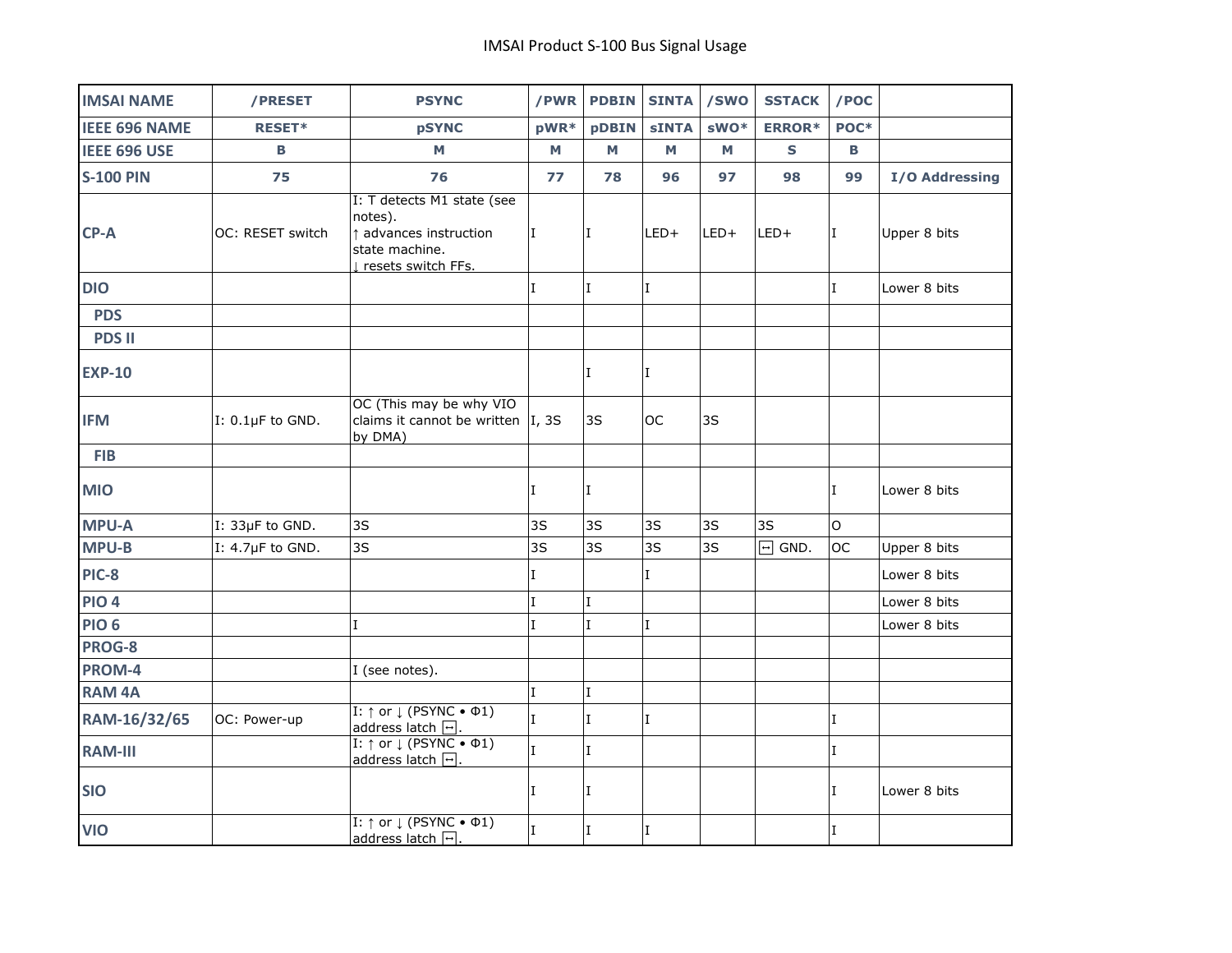| <b>IMSAI NAME</b>    | /PRESET          | <b>PSYNC</b>                                                                                              | /PWR           | <b>PDBIN</b> | <b>SINTA</b> | /SWO             | <b>SSTACK</b> | /POC             |                |
|----------------------|------------------|-----------------------------------------------------------------------------------------------------------|----------------|--------------|--------------|------------------|---------------|------------------|----------------|
| <b>IEEE 696 NAME</b> | RESET*           | <b>pSYNC</b>                                                                                              | $pWR*$         | pDBIN        | <b>sINTA</b> | sWO <sup>*</sup> | <b>ERROR*</b> | POC <sup>*</sup> |                |
| IEEE 696 USE         | в                | М                                                                                                         | M              | M            | M            | М                | S             | в                |                |
| <b>S-100 PIN</b>     | 75               | 76                                                                                                        | 77             | 78           | 96           | 97               | 98            | 99               | I/O Addressing |
| CP-A                 | OC: RESET switch | I: T detects M1 state (see<br>notes).<br>t advances instruction<br>state machine.<br>I resets switch FFs. | L              | II.          | $LED+$       | LED+             | LED+          | I.               | Upper 8 bits   |
| <b>DIO</b>           |                  |                                                                                                           | L              | $\mathbf I$  | I.           |                  |               | I                | Lower 8 bits   |
| <b>PDS</b>           |                  |                                                                                                           |                |              |              |                  |               |                  |                |
| <b>PDS II</b>        |                  |                                                                                                           |                |              |              |                  |               |                  |                |
| <b>EXP-10</b>        |                  |                                                                                                           |                | I            | I            |                  |               |                  |                |
| <b>IFM</b>           | I: 0.1µF to GND. | OC (This may be why VIO<br>claims it cannot be written $ I, 3S $<br>by DMA)                               |                | 3S           | <b>OC</b>    | 3S               |               |                  |                |
| <b>FIB</b>           |                  |                                                                                                           |                |              |              |                  |               |                  |                |
| <b>MIO</b>           |                  |                                                                                                           | I              | I.           |              |                  |               | I                | Lower 8 bits   |
| <b>MPU-A</b>         | I: 33µF to GND.  | 3S                                                                                                        | 3S             | 3S           | 3S           | 3S               | 3S            | O                |                |
| <b>MPU-B</b>         | I: 4.7µF to GND. | 3S                                                                                                        | 3S             | 3S           | 3S           | 3S               | $\Box$ GND.   | <b>OC</b>        | Upper 8 bits   |
| PIC-8                |                  |                                                                                                           | I              |              | T            |                  |               |                  | Lower 8 bits   |
| <b>PIO 4</b>         |                  |                                                                                                           | $\mathbf I$    | $\mathbf{I}$ |              |                  |               |                  | Lower 8 bits   |
| <b>PIO 6</b>         |                  | $\mathbf I$                                                                                               | $\mathbf I$    | I.           | $\mathbf I$  |                  |               |                  | Lower 8 bits   |
| PROG-8               |                  |                                                                                                           |                |              |              |                  |               |                  |                |
| PROM-4               |                  | I (see notes).                                                                                            |                |              |              |                  |               |                  |                |
| <b>RAM 4A</b>        |                  |                                                                                                           | $\mathbf I$    | $\mathbf I$  |              |                  |               |                  |                |
| RAM-16/32/65         | OC: Power-up     | $I: \uparrow$ or $\downarrow$ (PSYNC • $\Phi$ 1)<br>address latch $\boxed{\neg}$ .                        | $\overline{I}$ | $\mathbf{I}$ | $\mathbf I$  |                  |               | I                |                |
| <b>RAM-III</b>       |                  | I: $\uparrow$ or $\downarrow$ (PSYNC • $\Phi$ 1)<br>address latch $\boxed{\rightarrow}$ .                 | $\mathbf I$    | $\mathbf{I}$ |              |                  |               | I                |                |
| <b>SIO</b>           |                  |                                                                                                           | I              | I            |              |                  |               | L                | Lower 8 bits   |
| <b>VIO</b>           |                  | $I: \uparrow$ or $\downarrow$ (PSYNC • $\Phi$ 1)<br>address latch [-].                                    | $\overline{I}$ | $\mathbf I$  | $\mathbf I$  |                  |               | I                |                |